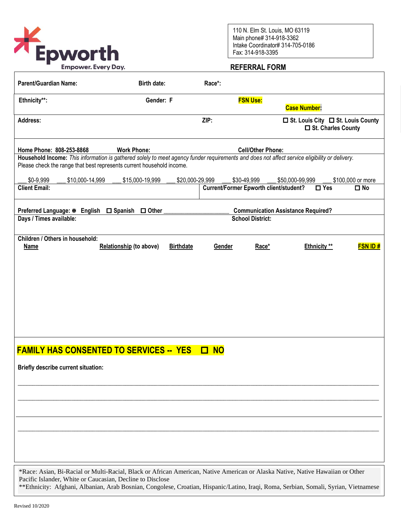

110 N. Elm St. Louis, MO 63119 Main phone# 314-918-3362 Intake Coordinator# 314-705-0186 Fax: 314-918-3395

## **REFERRAL FORM**

| <b>Parent/Guardian Name:</b>                                                                                                                                                                                           | <b>Birth date:</b>             | Race*:           |                 |                                               |                                                             |  |  |
|------------------------------------------------------------------------------------------------------------------------------------------------------------------------------------------------------------------------|--------------------------------|------------------|-----------------|-----------------------------------------------|-------------------------------------------------------------|--|--|
| Ethnicity**:                                                                                                                                                                                                           | Gender: F                      |                  | <b>FSN Use:</b> |                                               |                                                             |  |  |
|                                                                                                                                                                                                                        |                                |                  |                 | <b>Case Number:</b>                           |                                                             |  |  |
| <b>Address:</b>                                                                                                                                                                                                        |                                | ZIP:             |                 |                                               | □ St. Louis City □ St. Louis County<br>□ St. Charles County |  |  |
| Home Phone: 808-253-8868                                                                                                                                                                                               | <b>Work Phone:</b>             |                  |                 | <b>Cell/Other Phone:</b>                      |                                                             |  |  |
| Household Income: This information is gathered solely to meet agency funder requirements and does not affect service eligibility or delivery.<br>Please check the range that best represents current household income. |                                |                  |                 |                                               |                                                             |  |  |
| \$0-9,999<br>\$10,000-14,999                                                                                                                                                                                           | \$15,000-19,999                | \$20,000-29,999  | \$30-49,999     | \$50,000-99,999                               | \$100,000 or more                                           |  |  |
| <b>Client Email:</b>                                                                                                                                                                                                   |                                |                  |                 | <b>Current/Former Epworth client/student?</b> | $\square$ No<br>$\square$ Yes                               |  |  |
| Preferred Language: ※ English □ Spanish □ Other<br><b>Communication Assistance Required?</b>                                                                                                                           |                                |                  |                 |                                               |                                                             |  |  |
| Days / Times available:                                                                                                                                                                                                | <b>School District:</b>        |                  |                 |                                               |                                                             |  |  |
| Children / Others in household:<br><b>Name</b>                                                                                                                                                                         | <b>Relationship (to above)</b> | <b>Birthdate</b> | Gender          | Race*                                         | <b>FSN ID#</b><br><b>Ethnicity</b> **                       |  |  |
|                                                                                                                                                                                                                        |                                |                  |                 |                                               |                                                             |  |  |
|                                                                                                                                                                                                                        |                                |                  |                 |                                               |                                                             |  |  |
|                                                                                                                                                                                                                        |                                |                  |                 |                                               |                                                             |  |  |
|                                                                                                                                                                                                                        |                                |                  |                 |                                               |                                                             |  |  |
|                                                                                                                                                                                                                        |                                |                  |                 |                                               |                                                             |  |  |
|                                                                                                                                                                                                                        |                                |                  |                 |                                               |                                                             |  |  |
|                                                                                                                                                                                                                        |                                |                  |                 |                                               |                                                             |  |  |
| <b>FAMILY HAS CONSENTED TO SERVICES -- YES</b>                                                                                                                                                                         |                                | $\Box$ NO        |                 |                                               |                                                             |  |  |
|                                                                                                                                                                                                                        |                                |                  |                 |                                               |                                                             |  |  |
| <b>Briefly describe current situation:</b>                                                                                                                                                                             |                                |                  |                 |                                               |                                                             |  |  |
|                                                                                                                                                                                                                        |                                |                  |                 |                                               |                                                             |  |  |
|                                                                                                                                                                                                                        |                                |                  |                 |                                               |                                                             |  |  |
|                                                                                                                                                                                                                        |                                |                  |                 |                                               |                                                             |  |  |
|                                                                                                                                                                                                                        |                                |                  |                 |                                               |                                                             |  |  |
|                                                                                                                                                                                                                        |                                |                  |                 |                                               |                                                             |  |  |
|                                                                                                                                                                                                                        |                                |                  |                 |                                               |                                                             |  |  |
|                                                                                                                                                                                                                        |                                |                  |                 |                                               |                                                             |  |  |
| *Race: Asian, Bi-Racial or Multi-Racial, Black or African American, Native American or Alaska Native, Native Hawaiian or Other<br>Pacific Islander, White or Caucasian, Decline to Disclose                            |                                |                  |                 |                                               |                                                             |  |  |

\*\*Ethnicity: Afghani, Albanian, Arab Bosnian, Congolese, Croatian, Hispanic/Latino, Iraqi, Roma, Serbian, Somali, Syrian, Vietnamese